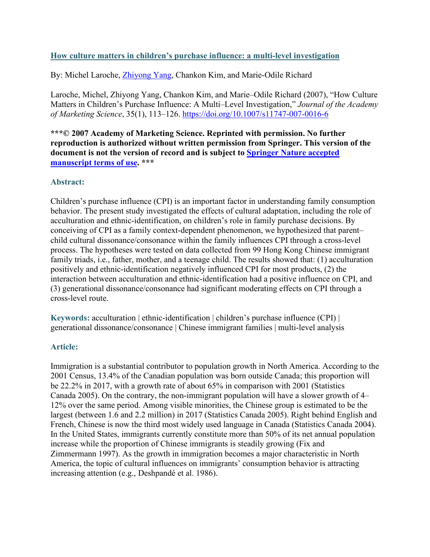### **How culture matters in children's purchase influence: a multi-level investigation**

By: Michel Laroche, [Zhiyong Yang,](https://libres.uncg.edu/ir/uncg/clist.aspx?id=25898) Chankon Kim, and Marie-Odile Richard

Laroche, Michel, Zhiyong Yang, Chankon Kim, and Marie–Odile Richard (2007), "How Culture Matters in Children's Purchase Influence: A Multi–Level Investigation," *Journal of the Academy of Marketing Science*, 35(1), 113–126. <https://doi.org/10.1007/s11747-007-0016-6>

**\*\*\*© 2007 Academy of Marketing Science. Reprinted with permission. No further reproduction is authorized without written permission from Springer. This version of the document is not the version of record and is subject to [Springer Nature accepted](https://www.springernature.com/gp/open-research/policies/accepted-manuscript-terms)  [manuscript terms of use.](https://www.springernature.com/gp/open-research/policies/accepted-manuscript-terms) \*\*\***

### **Abstract:**

Children's purchase influence (CPI) is an important factor in understanding family consumption behavior. The present study investigated the effects of cultural adaptation, including the role of acculturation and ethnic-identification, on children's role in family purchase decisions. By conceiving of CPI as a family context-dependent phenomenon, we hypothesized that parent– child cultural dissonance/consonance within the family influences CPI through a cross-level process. The hypotheses were tested on data collected from 99 Hong Kong Chinese immigrant family triads, i.e., father, mother, and a teenage child. The results showed that: (1) acculturation positively and ethnic-identification negatively influenced CPI for most products, (2) the interaction between acculturation and ethnic-identification had a positive influence on CPI, and (3) generational dissonance/consonance had significant moderating effects on CPI through a cross-level route.

**Keywords:** acculturation | ethnic-identification | children's purchase influence (CPI) | generational dissonance/consonance | Chinese immigrant families | multi-level analysis

# **Article:**

Immigration is a substantial contributor to population growth in North America. According to the 2001 Census, 13.4% of the Canadian population was born outside Canada; this proportion will be 22.2% in 2017, with a growth rate of about 65% in comparison with 2001 (Statistics Canada 2005). On the contrary, the non-immigrant population will have a slower growth of 4– 12% over the same period. Among visible minorities, the Chinese group is estimated to be the largest (between 1.6 and 2.2 million) in 2017 (Statistics Canada 2005). Right behind English and French, Chinese is now the third most widely used language in Canada (Statistics Canada 2004). In the United States, immigrants currently constitute more than 50% of its net annual population increase while the proportion of Chinese immigrants is steadily growing (Fix and Zimmermann 1997). As the growth in immigration becomes a major characteristic in North America, the topic of cultural influences on immigrants' consumption behavior is attracting increasing attention (e.g., Deshpandé et al. 1986).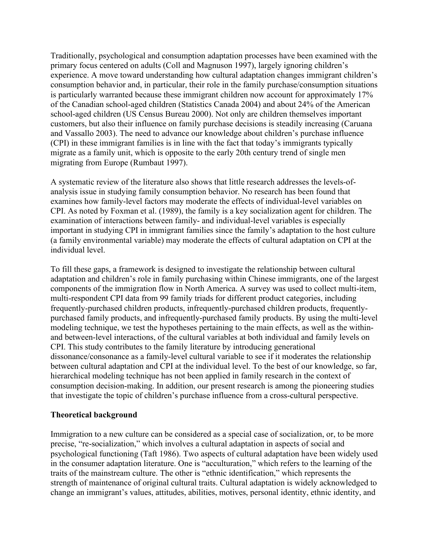Traditionally, psychological and consumption adaptation processes have been examined with the primary focus centered on adults (Coll and Magnuson 1997), largely ignoring children's experience. A move toward understanding how cultural adaptation changes immigrant children's consumption behavior and, in particular, their role in the family purchase/consumption situations is particularly warranted because these immigrant children now account for approximately 17% of the Canadian school-aged children (Statistics Canada 2004) and about 24% of the American school-aged children (US Census Bureau 2000). Not only are children themselves important customers, but also their influence on family purchase decisions is steadily increasing (Caruana and Vassallo 2003). The need to advance our knowledge about children's purchase influence (CPI) in these immigrant families is in line with the fact that today's immigrants typically migrate as a family unit, which is opposite to the early 20th century trend of single men migrating from Europe (Rumbaut 1997).

A systematic review of the literature also shows that little research addresses the levels-ofanalysis issue in studying family consumption behavior. No research has been found that examines how family-level factors may moderate the effects of individual-level variables on CPI. As noted by Foxman et al. (1989), the family is a key socialization agent for children. The examination of interactions between family- and individual-level variables is especially important in studying CPI in immigrant families since the family's adaptation to the host culture (a family environmental variable) may moderate the effects of cultural adaptation on CPI at the individual level.

To fill these gaps, a framework is designed to investigate the relationship between cultural adaptation and children's role in family purchasing within Chinese immigrants, one of the largest components of the immigration flow in North America. A survey was used to collect multi-item, multi-respondent CPI data from 99 family triads for different product categories, including frequently-purchased children products, infrequently-purchased children products, frequentlypurchased family products, and infrequently-purchased family products. By using the multi-level modeling technique, we test the hypotheses pertaining to the main effects, as well as the withinand between-level interactions, of the cultural variables at both individual and family levels on CPI. This study contributes to the family literature by introducing generational dissonance/consonance as a family-level cultural variable to see if it moderates the relationship between cultural adaptation and CPI at the individual level. To the best of our knowledge, so far, hierarchical modeling technique has not been applied in family research in the context of consumption decision-making. In addition, our present research is among the pioneering studies that investigate the topic of children's purchase influence from a cross-cultural perspective.

### **Theoretical background**

Immigration to a new culture can be considered as a special case of socialization, or, to be more precise, "re-socialization," which involves a cultural adaptation in aspects of social and psychological functioning (Taft 1986). Two aspects of cultural adaptation have been widely used in the consumer adaptation literature. One is "acculturation," which refers to the learning of the traits of the mainstream culture. The other is "ethnic identification," which represents the strength of maintenance of original cultural traits. Cultural adaptation is widely acknowledged to change an immigrant's values, attitudes, abilities, motives, personal identity, ethnic identity, and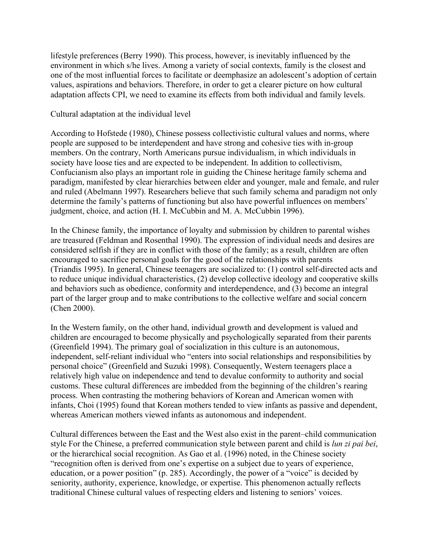lifestyle preferences (Berry 1990). This process, however, is inevitably influenced by the environment in which s/he lives. Among a variety of social contexts, family is the closest and one of the most influential forces to facilitate or deemphasize an adolescent's adoption of certain values, aspirations and behaviors. Therefore, in order to get a clearer picture on how cultural adaptation affects CPI, we need to examine its effects from both individual and family levels.

Cultural adaptation at the individual level

According to Hofstede (1980), Chinese possess collectivistic cultural values and norms, where people are supposed to be interdependent and have strong and cohesive ties with in-group members. On the contrary, North Americans pursue individualism, in which individuals in society have loose ties and are expected to be independent. In addition to collectivism, Confucianism also plays an important role in guiding the Chinese heritage family schema and paradigm, manifested by clear hierarchies between elder and younger, male and female, and ruler and ruled (Abelmann 1997). Researchers believe that such family schema and paradigm not only determine the family's patterns of functioning but also have powerful influences on members' judgment, choice, and action (H. I. McCubbin and M. A. McCubbin 1996).

In the Chinese family, the importance of loyalty and submission by children to parental wishes are treasured (Feldman and Rosenthal 1990). The expression of individual needs and desires are considered selfish if they are in conflict with those of the family; as a result, children are often encouraged to sacrifice personal goals for the good of the relationships with parents (Triandis 1995). In general, Chinese teenagers are socialized to: (1) control self-directed acts and to reduce unique individual characteristics, (2) develop collective ideology and cooperative skills and behaviors such as obedience, conformity and interdependence, and (3) become an integral part of the larger group and to make contributions to the collective welfare and social concern (Chen 2000).

In the Western family, on the other hand, individual growth and development is valued and children are encouraged to become physically and psychologically separated from their parents (Greenfield 1994). The primary goal of socialization in this culture is an autonomous, independent, self-reliant individual who "enters into social relationships and responsibilities by personal choice" (Greenfield and Suzuki 1998). Consequently, Western teenagers place a relatively high value on independence and tend to devalue conformity to authority and social customs. These cultural differences are imbedded from the beginning of the children's rearing process. When contrasting the mothering behaviors of Korean and American women with infants, Choi (1995) found that Korean mothers tended to view infants as passive and dependent, whereas American mothers viewed infants as autonomous and independent.

Cultural differences between the East and the West also exist in the parent–child communication style For the Chinese, a preferred communication style between parent and child is *lun zi pai bei*, or the hierarchical social recognition. As Gao et al. (1996) noted, in the Chinese society "recognition often is derived from one's expertise on a subject due to years of experience, education, or a power position" (p. 285). Accordingly, the power of a "voice" is decided by seniority, authority, experience, knowledge, or expertise. This phenomenon actually reflects traditional Chinese cultural values of respecting elders and listening to seniors' voices.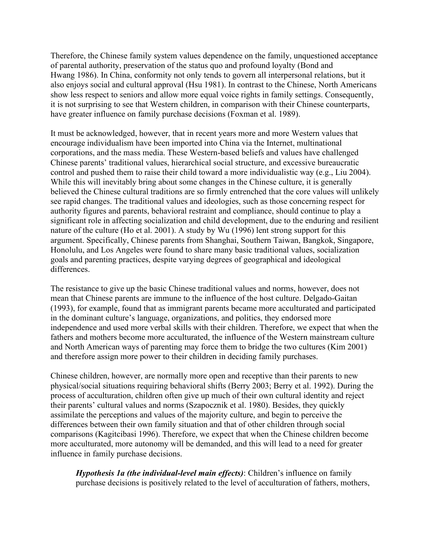Therefore, the Chinese family system values dependence on the family, unquestioned acceptance of parental authority, preservation of the status quo and profound loyalty (Bond and Hwang 1986). In China, conformity not only tends to govern all interpersonal relations, but it also enjoys social and cultural approval (Hsu 1981). In contrast to the Chinese, North Americans show less respect to seniors and allow more equal voice rights in family settings. Consequently, it is not surprising to see that Western children, in comparison with their Chinese counterparts, have greater influence on family purchase decisions (Foxman et al. 1989).

It must be acknowledged, however, that in recent years more and more Western values that encourage individualism have been imported into China via the Internet, multinational corporations, and the mass media. These Western-based beliefs and values have challenged Chinese parents' traditional values, hierarchical social structure, and excessive bureaucratic control and pushed them to raise their child toward a more individualistic way (e.g., Liu 2004). While this will inevitably bring about some changes in the Chinese culture, it is generally believed the Chinese cultural traditions are so firmly entrenched that the core values will unlikely see rapid changes. The traditional values and ideologies, such as those concerning respect for authority figures and parents, behavioral restraint and compliance, should continue to play a significant role in affecting socialization and child development, due to the enduring and resilient nature of the culture (Ho et al. 2001). A study by Wu (1996) lent strong support for this argument. Specifically, Chinese parents from Shanghai, Southern Taiwan, Bangkok, Singapore, Honolulu, and Los Angeles were found to share many basic traditional values, socialization goals and parenting practices, despite varying degrees of geographical and ideological differences.

The resistance to give up the basic Chinese traditional values and norms, however, does not mean that Chinese parents are immune to the influence of the host culture. Delgado-Gaitan (1993), for example, found that as immigrant parents became more acculturated and participated in the dominant culture's language, organizations, and politics, they endorsed more independence and used more verbal skills with their children. Therefore, we expect that when the fathers and mothers become more acculturated, the influence of the Western mainstream culture and North American ways of parenting may force them to bridge the two cultures (Kim 2001) and therefore assign more power to their children in deciding family purchases.

Chinese children, however, are normally more open and receptive than their parents to new physical/social situations requiring behavioral shifts (Berry 2003; Berry et al. 1992). During the process of acculturation, children often give up much of their own cultural identity and reject their parents' cultural values and norms (Szapocznik et al. 1980). Besides, they quickly assimilate the perceptions and values of the majority culture, and begin to perceive the differences between their own family situation and that of other children through social comparisons (Kagitcibasi 1996). Therefore, we expect that when the Chinese children become more acculturated, more autonomy will be demanded, and this will lead to a need for greater influence in family purchase decisions.

*Hypothesis 1a (the individual-level main effects)*: Children's influence on family purchase decisions is positively related to the level of acculturation of fathers, mothers,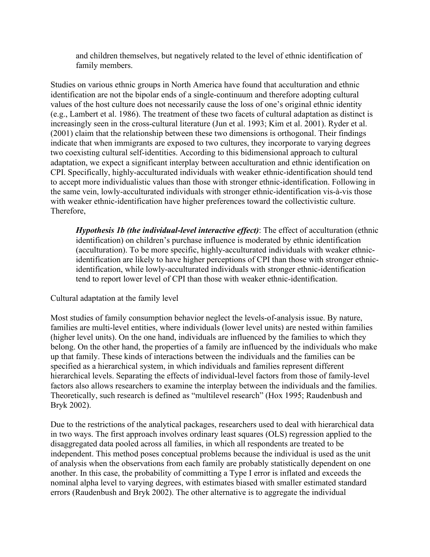and children themselves, but negatively related to the level of ethnic identification of family members.

Studies on various ethnic groups in North America have found that acculturation and ethnic identification are not the bipolar ends of a single-continuum and therefore adopting cultural values of the host culture does not necessarily cause the loss of one's original ethnic identity (e.g., Lambert et al. 1986). The treatment of these two facets of cultural adaptation as distinct is increasingly seen in the cross-cultural literature (Jun et al. 1993; Kim et al. 2001). Ryder et al. (2001) claim that the relationship between these two dimensions is orthogonal. Their findings indicate that when immigrants are exposed to two cultures, they incorporate to varying degrees two coexisting cultural self-identities. According to this bidimensional approach to cultural adaptation, we expect a significant interplay between acculturation and ethnic identification on CPI. Specifically, highly-acculturated individuals with weaker ethnic-identification should tend to accept more individualistic values than those with stronger ethnic-identification. Following in the same vein, lowly-acculturated individuals with stronger ethnic-identification vis-à-vis those with weaker ethnic-identification have higher preferences toward the collectivistic culture. Therefore,

*Hypothesis 1b (the individual-level interactive effect)*: The effect of acculturation (ethnic identification) on children's purchase influence is moderated by ethnic identification (acculturation). To be more specific, highly-acculturated individuals with weaker ethnicidentification are likely to have higher perceptions of CPI than those with stronger ethnicidentification, while lowly-acculturated individuals with stronger ethnic-identification tend to report lower level of CPI than those with weaker ethnic-identification.

# Cultural adaptation at the family level

Most studies of family consumption behavior neglect the levels-of-analysis issue. By nature, families are multi-level entities, where individuals (lower level units) are nested within families (higher level units). On the one hand, individuals are influenced by the families to which they belong. On the other hand, the properties of a family are influenced by the individuals who make up that family. These kinds of interactions between the individuals and the families can be specified as a hierarchical system, in which individuals and families represent different hierarchical levels. Separating the effects of individual-level factors from those of family-level factors also allows researchers to examine the interplay between the individuals and the families. Theoretically, such research is defined as "multilevel research" (Hox 1995; Raudenbush and Bryk 2002).

Due to the restrictions of the analytical packages, researchers used to deal with hierarchical data in two ways. The first approach involves ordinary least squares (OLS) regression applied to the disaggregated data pooled across all families, in which all respondents are treated to be independent. This method poses conceptual problems because the individual is used as the unit of analysis when the observations from each family are probably statistically dependent on one another. In this case, the probability of committing a Type I error is inflated and exceeds the nominal alpha level to varying degrees, with estimates biased with smaller estimated standard errors (Raudenbush and Bryk 2002). The other alternative is to aggregate the individual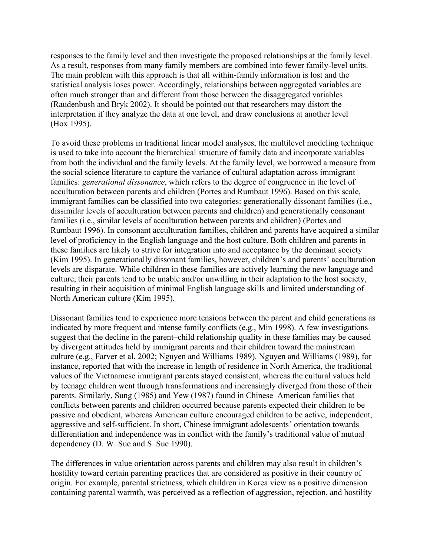responses to the family level and then investigate the proposed relationships at the family level. As a result, responses from many family members are combined into fewer family-level units. The main problem with this approach is that all within-family information is lost and the statistical analysis loses power. Accordingly, relationships between aggregated variables are often much stronger than and different from those between the disaggregated variables (Raudenbush and Bryk 2002). It should be pointed out that researchers may distort the interpretation if they analyze the data at one level, and draw conclusions at another level (Hox 1995).

To avoid these problems in traditional linear model analyses, the multilevel modeling technique is used to take into account the hierarchical structure of family data and incorporate variables from both the individual and the family levels. At the family level, we borrowed a measure from the social science literature to capture the variance of cultural adaptation across immigrant families: *generational dissonance*, which refers to the degree of congruence in the level of acculturation between parents and children (Portes and Rumbaut 1996). Based on this scale, immigrant families can be classified into two categories: generationally dissonant families (i.e., dissimilar levels of acculturation between parents and children) and generationally consonant families (i.e., similar levels of acculturation between parents and children) (Portes and Rumbaut 1996). In consonant acculturation families, children and parents have acquired a similar level of proficiency in the English language and the host culture. Both children and parents in these families are likely to strive for integration into and acceptance by the dominant society (Kim 1995). In generationally dissonant families, however, children's and parents' acculturation levels are disparate. While children in these families are actively learning the new language and culture, their parents tend to be unable and/or unwilling in their adaptation to the host society, resulting in their acquisition of minimal English language skills and limited understanding of North American culture (Kim 1995).

Dissonant families tend to experience more tensions between the parent and child generations as indicated by more frequent and intense family conflicts (e.g., Min 1998). A few investigations suggest that the decline in the parent–child relationship quality in these families may be caused by divergent attitudes held by immigrant parents and their children toward the mainstream culture (e.g., Farver et al. 2002; Nguyen and Williams 1989). Nguyen and Williams (1989), for instance, reported that with the increase in length of residence in North America, the traditional values of the Vietnamese immigrant parents stayed consistent, whereas the cultural values held by teenage children went through transformations and increasingly diverged from those of their parents. Similarly, Sung (1985) and Yew (1987) found in Chinese–American families that conflicts between parents and children occurred because parents expected their children to be passive and obedient, whereas American culture encouraged children to be active, independent, aggressive and self-sufficient. In short, Chinese immigrant adolescents' orientation towards differentiation and independence was in conflict with the family's traditional value of mutual dependency (D. W. Sue and S. Sue 1990).

The differences in value orientation across parents and children may also result in children's hostility toward certain parenting practices that are considered as positive in their country of origin. For example, parental strictness, which children in Korea view as a positive dimension containing parental warmth, was perceived as a reflection of aggression, rejection, and hostility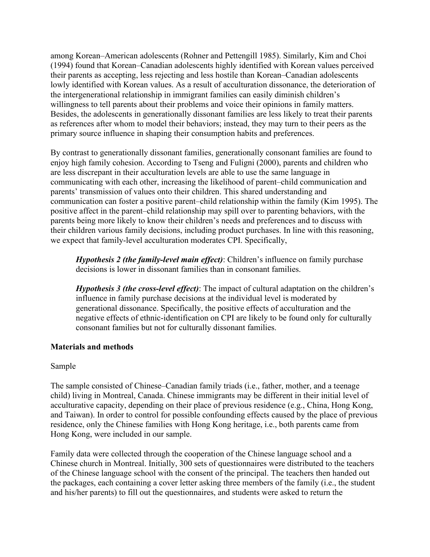among Korean–American adolescents (Rohner and Pettengill 1985). Similarly, Kim and Choi (1994) found that Korean–Canadian adolescents highly identified with Korean values perceived their parents as accepting, less rejecting and less hostile than Korean–Canadian adolescents lowly identified with Korean values. As a result of acculturation dissonance, the deterioration of the intergenerational relationship in immigrant families can easily diminish children's willingness to tell parents about their problems and voice their opinions in family matters. Besides, the adolescents in generationally dissonant families are less likely to treat their parents as references after whom to model their behaviors; instead, they may turn to their peers as the primary source influence in shaping their consumption habits and preferences.

By contrast to generationally dissonant families, generationally consonant families are found to enjoy high family cohesion. According to Tseng and Fuligni (2000), parents and children who are less discrepant in their acculturation levels are able to use the same language in communicating with each other, increasing the likelihood of parent–child communication and parents' transmission of values onto their children. This shared understanding and communication can foster a positive parent–child relationship within the family (Kim 1995). The positive affect in the parent–child relationship may spill over to parenting behaviors, with the parents being more likely to know their children's needs and preferences and to discuss with their children various family decisions, including product purchases. In line with this reasoning, we expect that family-level acculturation moderates CPI. Specifically,

*Hypothesis 2 (the family-level main effect)*: Children's influence on family purchase decisions is lower in dissonant families than in consonant families.

*Hypothesis 3 (the cross-level effect)*: The impact of cultural adaptation on the children's influence in family purchase decisions at the individual level is moderated by generational dissonance. Specifically, the positive effects of acculturation and the negative effects of ethnic-identification on CPI are likely to be found only for culturally consonant families but not for culturally dissonant families.

### **Materials and methods**

### Sample

The sample consisted of Chinese–Canadian family triads (i.e., father, mother, and a teenage child) living in Montreal, Canada. Chinese immigrants may be different in their initial level of acculturative capacity, depending on their place of previous residence (e.g., China, Hong Kong, and Taiwan). In order to control for possible confounding effects caused by the place of previous residence, only the Chinese families with Hong Kong heritage, i.e., both parents came from Hong Kong, were included in our sample.

Family data were collected through the cooperation of the Chinese language school and a Chinese church in Montreal. Initially, 300 sets of questionnaires were distributed to the teachers of the Chinese language school with the consent of the principal. The teachers then handed out the packages, each containing a cover letter asking three members of the family (i.e., the student and his/her parents) to fill out the questionnaires, and students were asked to return the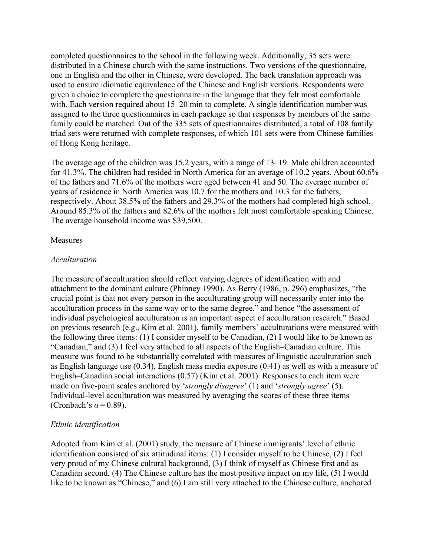completed questionnaires to the school in the following week. Additionally, 35 sets were distributed in a Chinese church with the same instructions. Two versions of the questionnaire, one in English and the other in Chinese, were developed. The back translation approach was used to ensure idiomatic equivalence of the Chinese and English versions. Respondents were given a choice to complete the questionnaire in the language that they felt most comfortable with. Each version required about 15–20 min to complete. A single identification number was assigned to the three questionnaires in each package so that responses by members of the same family could be matched. Out of the 335 sets of questionnaires distributed, a total of 108 family triad sets were returned with complete responses, of which 101 sets were from Chinese families of Hong Kong heritage.

The average age of the children was 15.2 years, with a range of 13–19. Male children accounted for 41.3%. The children had resided in North America for an average of 10.2 years. About 60.6% of the fathers and 71.6% of the mothers were aged between 41 and 50. The average number of years of residence in North America was 10.7 for the mothers and 10.3 for the fathers, respectively. About 38.5% of the fathers and 29.3% of the mothers had completed high school. Around 85.3% of the fathers and 82.6% of the mothers felt most comfortable speaking Chinese. The average household income was \$39,500.

### Measures

#### *Acculturation*

The measure of acculturation should reflect varying degrees of identification with and attachment to the dominant culture (Phinney 1990). As Berry (1986, p. 296) emphasizes, "the crucial point is that not every person in the acculturating group will necessarily enter into the acculturation process in the same way or to the same degree," and hence "the assessment of individual psychological acculturation is an important aspect of acculturation research." Based on previous research (e.g., Kim et al. 2001), family members' acculturations were measured with the following three items: (1) I consider myself to be Canadian, (2) I would like to be known as "Canadian," and (3) I feel very attached to all aspects of the English–Canadian culture. This measure was found to be substantially correlated with measures of linguistic acculturation such as English language use (0.34), English mass media exposure (0.41) as well as with a measure of English–Canadian social interactions (0.57) (Kim et al. 2001). Responses to each item were made on five-point scales anchored by '*strongly disagree*' (1) and '*strongly agree*' (5). Individual-level acculturation was measured by averaging the scores of these three items (Cronbach's  $\alpha = 0.89$ ).

### *Ethnic identification*

Adopted from Kim et al. (2001) study, the measure of Chinese immigrants' level of ethnic identification consisted of six attitudinal items: (1) I consider myself to be Chinese, (2) I feel very proud of my Chinese cultural background, (3) I think of myself as Chinese first and as Canadian second, (4) The Chinese culture has the most positive impact on my life, (5) I would like to be known as "Chinese," and (6) I am still very attached to the Chinese culture, anchored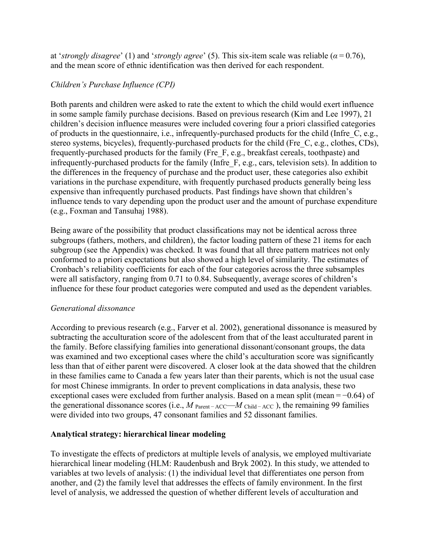at '*strongly disagree*' (1) and '*strongly agree*' (5). This six-item scale was reliable (*α* = 0.76), and the mean score of ethnic identification was then derived for each respondent.

# *Children's Purchase Influence (CPI)*

Both parents and children were asked to rate the extent to which the child would exert influence in some sample family purchase decisions. Based on previous research (Kim and Lee 1997), 21 children's decision influence measures were included covering four a priori classified categories of products in the questionnaire, i.e., infrequently-purchased products for the child (Infre\_C, e.g., stereo systems, bicycles), frequently-purchased products for the child (Fre\_C, e.g., clothes, CDs), frequently-purchased products for the family (Fre\_F, e.g., breakfast cereals, toothpaste) and infrequently-purchased products for the family (Infre\_F, e.g., cars, television sets). In addition to the differences in the frequency of purchase and the product user, these categories also exhibit variations in the purchase expenditure, with frequently purchased products generally being less expensive than infrequently purchased products. Past findings have shown that children's influence tends to vary depending upon the product user and the amount of purchase expenditure (e.g., Foxman and Tansuhaj 1988).

Being aware of the possibility that product classifications may not be identical across three subgroups (fathers, mothers, and children), the factor loading pattern of these 21 items for each subgroup (see the Appendix) was checked. It was found that all three pattern matrices not only conformed to a priori expectations but also showed a high level of similarity. The estimates of Cronbach's reliability coefficients for each of the four categories across the three subsamples were all satisfactory, ranging from 0.71 to 0.84. Subsequently, average scores of children's influence for these four product categories were computed and used as the dependent variables.

# *Generational dissonance*

According to previous research (e.g., Farver et al. 2002), generational dissonance is measured by subtracting the acculturation score of the adolescent from that of the least acculturated parent in the family. Before classifying families into generational dissonant/consonant groups, the data was examined and two exceptional cases where the child's acculturation score was significantly less than that of either parent were discovered. A closer look at the data showed that the children in these families came to Canada a few years later than their parents, which is not the usual case for most Chinese immigrants. In order to prevent complications in data analysis, these two exceptional cases were excluded from further analysis. Based on a mean split (mean = −0.64) of the generational dissonance scores (i.e., *M* Parent − ACC—*M* Child − ACC ), the remaining 99 families were divided into two groups, 47 consonant families and 52 dissonant families.

# **Analytical strategy: hierarchical linear modeling**

To investigate the effects of predictors at multiple levels of analysis, we employed multivariate hierarchical linear modeling (HLM: Raudenbush and Bryk 2002). In this study, we attended to variables at two levels of analysis: (1) the individual level that differentiates one person from another, and (2) the family level that addresses the effects of family environment. In the first level of analysis, we addressed the question of whether different levels of acculturation and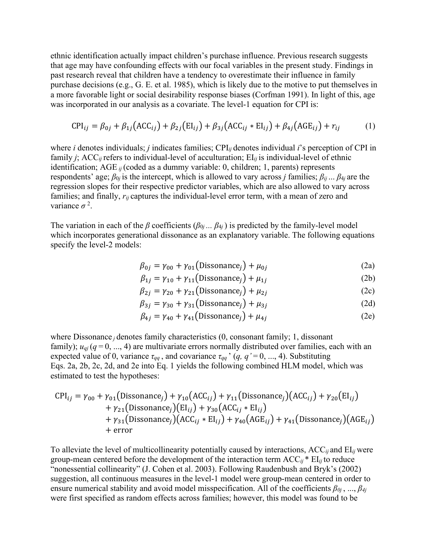ethnic identification actually impact children's purchase influence. Previous research suggests that age may have confounding effects with our focal variables in the present study. Findings in past research reveal that children have a tendency to overestimate their influence in family purchase decisions (e.g., G. E. et al. 1985), which is likely due to the motive to put themselves in a more favorable light or social desirability response biases (Corfman 1991). In light of this, age was incorporated in our analysis as a covariate. The level-1 equation for CPI is:

$$
CPI_{ij} = \beta_{0j} + \beta_{1j} \left( ACC_{ij} \right) + \beta_{2j} \left( EI_{ij} \right) + \beta_{3j} \left( ACC_{ij} * EI_{ij} \right) + \beta_{4j} \left( ACE_{ij} \right) + r_{ij}
$$
 (1)

where *i* denotes individuals; *j* indicates families; CPI*ij* denotes individual *i*'s perception of CPI in family *j*; ACC<sub>*ij*</sub> refers to individual-level of acculturation;  $EI_{ij}$  is individual-level of ethnic identification; AGE *ij* (coded as a dummy variable: 0, children; 1, parents) represents respondents' age; *β*<sup>0</sup>*<sup>j</sup>* is the intercept, which is allowed to vary across *j* families; *βij* ... *β*<sup>4</sup>*<sup>j</sup>* are the regression slopes for their respective predictor variables, which are also allowed to vary across families; and finally,  $r_{ij}$  captures the individual-level error term, with a mean of zero and variance  $\sigma^2$ .

The variation in each of the *β* coefficients ( $\beta_{0j}$  ...  $\beta_{4j}$ ) is predicted by the family-level model which incorporates generational dissonance as an explanatory variable. The following equations specify the level-2 models:

$$
\beta_{0j} = \gamma_{00} + \gamma_{01} \text{(Dissonance)} + \mu_{0j} \tag{2a}
$$

$$
\beta_{1j} = \gamma_{10} + \gamma_{11} \text{(Dissonance)} + \mu_{1j} \tag{2b}
$$

$$
\beta_{2j} = \gamma_{20} + \gamma_{21} \left( \text{Dissonance}_j \right) + \mu_{2j} \tag{2c}
$$

$$
\beta_{3j} = \gamma_{30} + \gamma_{31} \left( \text{Dissonance}_j \right) + \mu_{3j} \tag{2d}
$$

$$
\beta_{4j} = \gamma_{40} + \gamma_{41} \left( \text{Dissonance}_j \right) + \mu_{4j} \tag{2e}
$$

where Dissonance *<sup>j</sup>* denotes family characteristics (0, consonant family; 1, dissonant family);  $u_{qi}$  ( $q=0, ..., 4$ ) are multivariate errors normally distributed over families, each with an expected value of 0, variance  $\tau_{qq}$ , and covariance  $\tau_{qq}$ <sup>,</sup> (*q*, *q*<sup>'</sup> = 0, ..., 4). Substituting Eqs. 2a, 2b, 2c, 2d, and 2e into Eq. 1 yields the following combined HLM model, which was estimated to test the hypotheses:

$$
CPI_{ij} = \gamma_{00} + \gamma_{01} \left( \text{Dissonance}_j \right) + \gamma_{10} \left( \text{ACC}_{ij} \right) + \gamma_{11} \left( \text{Dissonance}_j \right) \left( \text{ACC}_{ij} \right) + \gamma_{20} \left( \text{EI}_{ij} \right) + \gamma_{21} \left( \text{Dissonance}_j \right) \left( \text{EI}_{ij} \right) + \gamma_{30} \left( \text{ACC}_{ij} * \text{EI}_{ij} \right) + \gamma_{31} \left( \text{Dissonance}_j \right) \left( \text{ACC}_{ij} * \text{EI}_{ij} \right) + \gamma_{40} \left( \text{AGE}_{ij} \right) + \gamma_{41} \left( \text{Dissonance}_j \right) \left( \text{AGE}_{ij} \right) + \text{error}
$$

To alleviate the level of multicollinearity potentially caused by interactions, ACC*ij* and EI*ij* were group-mean centered before the development of the interaction term ACC*ij* \* EI*ij* to reduce "nonessential collinearity" (J. Cohen et al. 2003). Following Raudenbush and Bryk's (2002) suggestion, all continuous measures in the level-1 model were group-mean centered in order to ensure numerical stability and avoid model misspecification. All of the coefficients *β0j* , ..., *β4j* were first specified as random effects across families; however, this model was found to be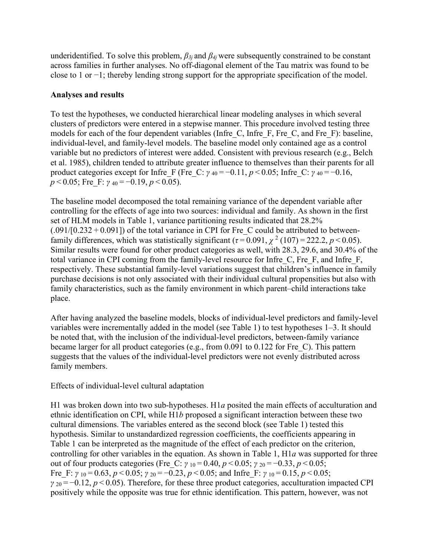underidentified. To solve this problem, *β3j* and *β4j* were subsequently constrained to be constant across families in further analyses. No off-diagonal element of the Tau matrix was found to be close to 1 or −1; thereby lending strong support for the appropriate specification of the model.

### **Analyses and results**

To test the hypotheses, we conducted hierarchical linear modeling analyses in which several clusters of predictors were entered in a stepwise manner. This procedure involved testing three models for each of the four dependent variables (Infre\_C, Infre\_F, Fre\_C, and Fre\_F): baseline, individual-level, and family-level models. The baseline model only contained age as a control variable but no predictors of interest were added. Consistent with previous research (e.g., Belch et al. 1985), children tended to attribute greater influence to themselves than their parents for all product categories except for Infre F (Fre C:  $\gamma_{40} = -0.11$ ,  $p < 0.05$ ; Infre C:  $\gamma_{40} = -0.16$ , *p* < 0.05; Fre F: *γ* <sub>40</sub> = −0.19, *p* < 0.05).

The baseline model decomposed the total remaining variance of the dependent variable after controlling for the effects of age into two sources: individual and family. As shown in the first set of HLM models in Table 1, variance partitioning results indicated that 28.2%  $(.091/[0.232+0.091])$  of the total variance in CPI for Fre\_C could be attributed to betweenfamily differences, which was statistically significant ( $\tau$ =0.091,  $\chi$ <sup>2</sup> (107) = 222.2, *p* < 0.05). Similar results were found for other product categories as well, with 28.3, 29.6, and 30.4% of the total variance in CPI coming from the family-level resource for Infre\_C, Fre\_F, and Infre\_F, respectively. These substantial family-level variations suggest that children's influence in family purchase decisions is not only associated with their individual cultural propensities but also with family characteristics, such as the family environment in which parent–child interactions take place.

After having analyzed the baseline models, blocks of individual-level predictors and family-level variables were incrementally added in the model (see Table 1) to test hypotheses 1–3. It should be noted that, with the inclusion of the individual-level predictors, between-family variance became larger for all product categories (e.g., from 0.091 to 0.122 for Fre\_C). This pattern suggests that the values of the individual-level predictors were not evenly distributed across family members.

Effects of individual-level cultural adaptation

H1 was broken down into two sub-hypotheses. H1*a* posited the main effects of acculturation and ethnic identification on CPI, while H1*b* proposed a significant interaction between these two cultural dimensions. The variables entered as the second block (see Table 1) tested this hypothesis. Similar to unstandardized regression coefficients, the coefficients appearing in Table 1 can be interpreted as the magnitude of the effect of each predictor on the criterion, controlling for other variables in the equation. As shown in Table 1, H1*a* was supported for three out of four products categories (Fre\_C: *γ* <sup>10</sup> = 0.40, *p* < 0.05; *γ* <sup>20</sup> = −0.33, *p* < 0.05; Fre F:  $\gamma$  10 = 0.63, *p* < 0.05;  $\gamma$  20 = -0.23, *p* < 0.05; and Infre F:  $\gamma$  10 = 0.15, *p* < 0.05;  $\gamma_{20} = -0.12$ ,  $p \le 0.05$ ). Therefore, for these three product categories, acculturation impacted CPI positively while the opposite was true for ethnic identification. This pattern, however, was not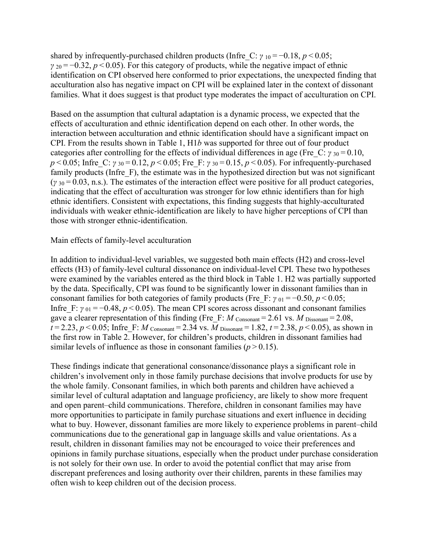shared by infrequently-purchased children products (Infre C:  $\gamma_{10} = -0.18$ ,  $p < 0.05$ ; *γ* 20 = −0.32, *p* < 0.05). For this category of products, while the negative impact of ethnic identification on CPI observed here conformed to prior expectations, the unexpected finding that acculturation also has negative impact on CPI will be explained later in the context of dissonant families. What it does suggest is that product type moderates the impact of acculturation on CPI.

Based on the assumption that cultural adaptation is a dynamic process, we expected that the effects of acculturation and ethnic identification depend on each other. In other words, the interaction between acculturation and ethnic identification should have a significant impact on CPI. From the results shown in Table 1, H1*b* was supported for three out of four product categories after controlling for the effects of individual differences in age (Fre C:  $\gamma_{30} = 0.10$ , *p* < 0.05; Infre C: *γ* 30 = 0.12, *p* < 0.05; Fre F: *γ* 30 = 0.15, *p* < 0.05). For infrequently-purchased family products (Infre F), the estimate was in the hypothesized direction but was not significant  $(y_{30} = 0.03, n.s.)$ . The estimates of the interaction effect were positive for all product categories, indicating that the effect of acculturation was stronger for low ethnic identifiers than for high ethnic identifiers. Consistent with expectations, this finding suggests that highly-acculturated individuals with weaker ethnic-identification are likely to have higher perceptions of CPI than those with stronger ethnic-identification.

### Main effects of family-level acculturation

In addition to individual-level variables, we suggested both main effects (H2) and cross-level effects (H3) of family-level cultural dissonance on individual-level CPI. These two hypotheses were examined by the variables entered as the third block in Table 1. H2 was partially supported by the data. Specifically, CPI was found to be significantly lower in dissonant families than in consonant families for both categories of family products (Fre F:  $\gamma_{01} = -0.50$ ,  $p \le 0.05$ ; Infre F:  $\gamma_{01} = -0.48$ ,  $p < 0.05$ ). The mean CPI scores across dissonant and consonant families gave a clearer representation of this finding (Fre F:  $M$  Consonant = 2.61 vs.  $M$  Dissonant = 2.08,  $t = 2.23, p \le 0.05$ ; Infre F: *M* Consonant = 2.34 vs. *M* Dissonant = 1.82,  $t = 2.38, p \le 0.05$ ), as shown in the first row in Table 2. However, for children's products, children in dissonant families had similar levels of influence as those in consonant families  $(p > 0.15)$ .

These findings indicate that generational consonance/dissonance plays a significant role in children's involvement only in those family purchase decisions that involve products for use by the whole family. Consonant families, in which both parents and children have achieved a similar level of cultural adaptation and language proficiency, are likely to show more frequent and open parent–child communications. Therefore, children in consonant families may have more opportunities to participate in family purchase situations and exert influence in deciding what to buy. However, dissonant families are more likely to experience problems in parent–child communications due to the generational gap in language skills and value orientations. As a result, children in dissonant families may not be encouraged to voice their preferences and opinions in family purchase situations, especially when the product under purchase consideration is not solely for their own use. In order to avoid the potential conflict that may arise from discrepant preferences and losing authority over their children, parents in these families may often wish to keep children out of the decision process.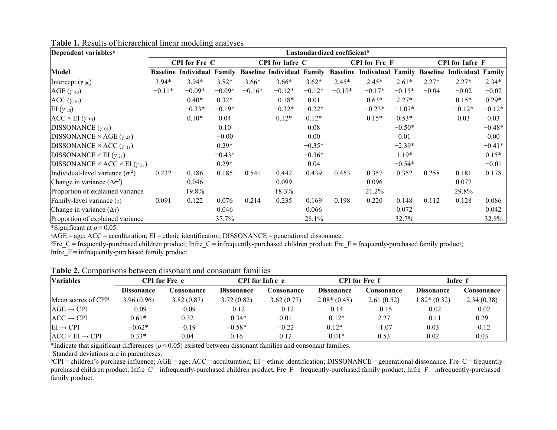| Dependent variables <sup>a</sup>                  | Unstandardized coefficient <sup>b</sup> |                                   |          |          |                                   |          |          |                                   |          |                        |                                   |          |  |
|---------------------------------------------------|-----------------------------------------|-----------------------------------|----------|----------|-----------------------------------|----------|----------|-----------------------------------|----------|------------------------|-----------------------------------|----------|--|
|                                                   | <b>CPI</b> for Fre C                    |                                   |          |          | <b>CPI</b> for Infre C            |          |          | <b>CPI</b> for Fre F              |          | <b>CPI</b> for Infre F |                                   |          |  |
| Model                                             |                                         | <b>Baseline Individual Family</b> |          |          | <b>Baseline Individual Family</b> |          |          | <b>Baseline Individual Family</b> |          |                        | <b>Baseline Individual Family</b> |          |  |
| Intercept $(y_{00})$                              | $3.94*$                                 | $3.94*$                           | $3.82*$  | $3.66*$  | $3.66*$                           | $3.62*$  | $2.45*$  | $2.45*$                           | $2.61*$  | $2.27*$                | $2.27*$                           | $2.34*$  |  |
| AGE $(\gamma_{40})$                               | $-0.11*$                                | $-0.09*$                          | $-0.09*$ | $-0.16*$ | $-0.12*$                          | $-0.12*$ | $-0.19*$ | $-0.17*$                          | $-0.15*$ | $-0.04$                | $-0.02$                           | $-0.02$  |  |
| $ACC(y_{10})$                                     |                                         | $0.40*$                           | $0.32*$  |          | $-0.18*$                          | 0.01     |          | $0.63*$                           | $2.27*$  |                        | $0.15*$                           | $0.29*$  |  |
| EI $(\gamma_{20})$                                |                                         | $-0.33*$                          | $-0.19*$ |          | $-0.32*$                          | $-0.22*$ |          | $-0.23*$                          | $-1.07*$ |                        | $-0.12*$                          | $-0.12*$ |  |
| $ACC \times EI(\gamma_{30})$                      |                                         | $0.10*$                           | 0.04     |          | $0.12*$                           | $0.12*$  |          | $0.15*$                           | $0.53*$  |                        | 0.03                              | 0.03     |  |
| DISSONANCE $(\gamma_{01})$                        |                                         |                                   | 0.10     |          |                                   | 0.08     |          |                                   | $-0.50*$ |                        |                                   | $-0.48*$ |  |
| DISSONANCE × AGE $(\gamma_{41})$                  |                                         |                                   | $-0.00$  |          |                                   | 0.00     |          |                                   | 0.01     |                        |                                   | 0.00     |  |
| DISSONANCE × ACC $(\gamma_{11})$                  |                                         |                                   | $0.29*$  |          |                                   | $-0.35*$ |          |                                   | $-2.39*$ |                        |                                   | $-0.41*$ |  |
| DISSONANCE $\times$ EI ( $\gamma$ <sub>21</sub> ) |                                         |                                   | $-0.43*$ |          |                                   | $-0.36*$ |          |                                   | $1.19*$  |                        |                                   | $0.15*$  |  |
| DISSONANCE × ACC × EI $(\gamma_{31})$             |                                         |                                   | $0.29*$  |          |                                   | 0.04     |          |                                   | $-0.54*$ |                        |                                   | $-0.01$  |  |
| Individual-level variance $(\sigma^2)$            | 0.232                                   | 0.186                             | 0.185    | 0.541    | 0.442                             | 0.439    | 0.453    | 0.357                             | 0.352    | 0.258                  | 0.181                             | 0.178    |  |
| Change in variance $(\Delta \sigma^2)$            |                                         | 0.046                             |          |          | 0.099                             |          |          | 0.096                             |          |                        | 0.077                             |          |  |
| Proportion of explained variance                  |                                         | 19.8%                             |          |          | 18.3%                             |          |          | 21.2%                             |          |                        | 29.8%                             |          |  |
| Family-level variance $(\tau)$                    | 0.091                                   | 0.122                             | 0.076    | 0.214    | 0.235                             | 0.169    | 0.198    | 0.220                             | 0.148    | 0.112                  | 0.128                             | 0.086    |  |
| Change in variance $(\Delta \tau)$                |                                         |                                   | 0.046    |          |                                   | 0.066    |          |                                   | 0.072    |                        |                                   | 0.042    |  |
| Proportion of explained variance                  |                                         |                                   | 37.7%    |          |                                   | 28.1%    |          |                                   | 32.7%    |                        |                                   | 32.8%    |  |

**Table 1.** Results of hierarchical linear modeling analyses

\*Significant at  $p < 0.05$ .

<sup>a</sup>AGE = age; ACC = acculturation; EI = ethnic identification; DISSONANCE = generational dissonance.

 ${}^{b}$ Fre\_C = frequently-purchased children product; Infre\_C = infrequently-purchased children product; Fre\_F = frequently-purchased family product; Infre $\overline{F}$  = infrequently-purchased family product.

|  |  |  |  |  |  |  |  | <b>Table 2.</b> Comparisons between dissonant and consonant families |  |  |
|--|--|--|--|--|--|--|--|----------------------------------------------------------------------|--|--|
|  |  |  |  |  |  |  |  |                                                                      |  |  |

| <b>Variables</b>                 | CPI for Fre_c_                          |            |                   | <b>CPI</b> for Infre c |                   | CPI for Fre_f | Infre f           |                    |  |
|----------------------------------|-----------------------------------------|------------|-------------------|------------------------|-------------------|---------------|-------------------|--------------------|--|
|                                  | <b>Dissonance</b><br><i>c</i> onsonance |            | <b>Dissonance</b> | <i>c</i> onsonance     | <b>Dissonance</b> | Consonance    | <b>Dissonance</b> | <i>c</i> onsonance |  |
| Mean scores of $\mathbb{C}P I^a$ | 3.96(0.96)                              | 3.82(0.87) | 3.72(0.82)        | 3.62(0.77)             | $2.08*(0.48)$     | 2.61(0.52)    | $1.82*(0.32)$     | 2.34(0.38)         |  |
| $AGE \rightarrow CPI$            | $-0.09$                                 | $-0.09$    | $-0.12$           | $-0.12$                | $-0.14$           | $-0.15$       | $-0.02$           | $-0.02$            |  |
| $ACC \rightarrow CPI$            | $0.61*$                                 | 0.32       | $-0.34*$          | 0.01                   | $-0.12*$          | 2.27          | $-0.11$           | 0.29               |  |
| $EI \rightarrow CPI$             | $-0.62*$                                | $-0.19$    | $-0.58*$          | $-0.22$                | $0.12*$           | $-1.07$       | 0.03              | $-0.12$            |  |
| $ACC \times EI \rightarrow CPI$  | $0.33*$                                 | 0.04       | 0.16              | 0.12                   | $-0.01*$          | 0.53          | 0.02              | 0.03               |  |

\*Indicate that significant differences (*p* < 0.05) existed between dissonant families and consonant families.

a Standard deviations are in parentheses.

<sup>b</sup>CPI<sup></sup> = children's purchase influence; AGE = age; ACC = acculturation; EI = ethnic identification; DISSONANCE = generational dissonance. Fre\_C = frequentlypurchased children product; Infre\_C = infrequently-purchased children product; Fre\_F = frequently-purchased family product; Infre\_F = infrequently-purchased family product.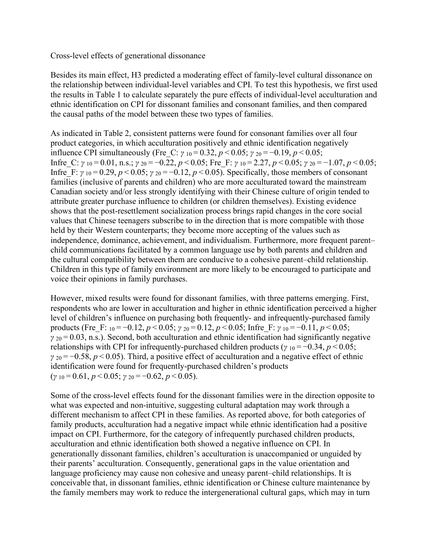### Cross-level effects of generational dissonance

Besides its main effect, H3 predicted a moderating effect of family-level cultural dissonance on the relationship between individual-level variables and CPI. To test this hypothesis, we first used the results in Table 1 to calculate separately the pure effects of individual-level acculturation and ethnic identification on CPI for dissonant families and consonant families, and then compared the causal paths of the model between these two types of families.

As indicated in Table 2, consistent patterns were found for consonant families over all four product categories, in which acculturation positively and ethnic identification negatively influence CPI simultaneously (Fre\_C: *γ* <sup>10</sup> = 0.32, *p* < 0.05; *γ* <sup>20</sup> = −0.19, *p* < 0.05; Infre\_C: *γ* <sup>10</sup> = 0.01, n.s.; *γ* <sup>20</sup> = −0.22, *p* < 0.05; Fre\_F: *γ* <sup>10</sup> = 2.27, *p* < 0.05; *γ* <sup>20</sup> = −1.07, *p* < 0.05; Infre F:  $\gamma$  10 = 0.29, *p* < 0.05;  $\gamma$  <sub>20</sub> = -0.12, *p* < 0.05). Specifically, those members of consonant families (inclusive of parents and children) who are more acculturated toward the mainstream Canadian society and/or less strongly identifying with their Chinese culture of origin tended to attribute greater purchase influence to children (or children themselves). Existing evidence shows that the post-resettlement socialization process brings rapid changes in the core social values that Chinese teenagers subscribe to in the direction that is more compatible with those held by their Western counterparts; they become more accepting of the values such as independence, dominance, achievement, and individualism. Furthermore, more frequent parent– child communications facilitated by a common language use by both parents and children and the cultural compatibility between them are conducive to a cohesive parent–child relationship. Children in this type of family environment are more likely to be encouraged to participate and voice their opinions in family purchases.

However, mixed results were found for dissonant families, with three patterns emerging. First, respondents who are lower in acculturation and higher in ethnic identification perceived a higher level of children's influence on purchasing both frequently- and infrequently-purchased family products (Fre\_F: <sup>10</sup> = −0.12, *p* < 0.05; *γ* <sup>20</sup> = 0.12, *p* < 0.05; Infre\_F: *γ* <sup>10</sup> = −0.11, *p* < 0.05; *γ* <sup>20</sup> = 0.03, n.s.). Second, both acculturation and ethnic identification had significantly negative relationships with CPI for infrequently-purchased children products ( $\gamma_{10} = -0.34$ ,  $p < 0.05$ ; *γ* <sup>20</sup> = −0.58, *p* < 0.05). Third, a positive effect of acculturation and a negative effect of ethnic identification were found for frequently-purchased children's products (*γ* <sup>10</sup> = 0.61, *p* < 0.05; *γ* <sup>20</sup> = −0.62, *p* < 0.05).

Some of the cross-level effects found for the dissonant families were in the direction opposite to what was expected and non-intuitive, suggesting cultural adaptation may work through a different mechanism to affect CPI in these families. As reported above, for both categories of family products, acculturation had a negative impact while ethnic identification had a positive impact on CPI. Furthermore, for the category of infrequently purchased children products, acculturation and ethnic identification both showed a negative influence on CPI. In generationally dissonant families, children's acculturation is unaccompanied or unguided by their parents' acculturation. Consequently, generational gaps in the value orientation and language proficiency may cause non cohesive and uneasy parent–child relationships. It is conceivable that, in dissonant families, ethnic identification or Chinese culture maintenance by the family members may work to reduce the intergenerational cultural gaps, which may in turn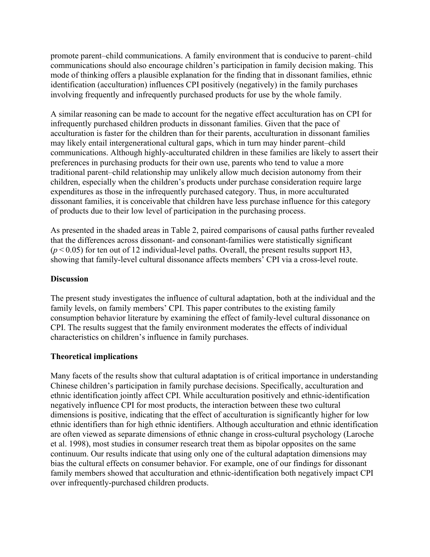promote parent–child communications. A family environment that is conducive to parent–child communications should also encourage children's participation in family decision making. This mode of thinking offers a plausible explanation for the finding that in dissonant families, ethnic identification (acculturation) influences CPI positively (negatively) in the family purchases involving frequently and infrequently purchased products for use by the whole family.

A similar reasoning can be made to account for the negative effect acculturation has on CPI for infrequently purchased children products in dissonant families. Given that the pace of acculturation is faster for the children than for their parents, acculturation in dissonant families may likely entail intergenerational cultural gaps, which in turn may hinder parent–child communications. Although highly-acculturated children in these families are likely to assert their preferences in purchasing products for their own use, parents who tend to value a more traditional parent–child relationship may unlikely allow much decision autonomy from their children, especially when the children's products under purchase consideration require large expenditures as those in the infrequently purchased category. Thus, in more acculturated dissonant families, it is conceivable that children have less purchase influence for this category of products due to their low level of participation in the purchasing process.

As presented in the shaded areas in Table 2, paired comparisons of causal paths further revealed that the differences across dissonant- and consonant-families were statistically significant  $(p<0.05)$  for ten out of 12 individual-level paths. Overall, the present results support H3, showing that family-level cultural dissonance affects members' CPI via a cross-level route.

### **Discussion**

The present study investigates the influence of cultural adaptation, both at the individual and the family levels, on family members' CPI. This paper contributes to the existing family consumption behavior literature by examining the effect of family-level cultural dissonance on CPI. The results suggest that the family environment moderates the effects of individual characteristics on children's influence in family purchases.

### **Theoretical implications**

Many facets of the results show that cultural adaptation is of critical importance in understanding Chinese children's participation in family purchase decisions. Specifically, acculturation and ethnic identification jointly affect CPI. While acculturation positively and ethnic-identification negatively influence CPI for most products, the interaction between these two cultural dimensions is positive, indicating that the effect of acculturation is significantly higher for low ethnic identifiers than for high ethnic identifiers. Although acculturation and ethnic identification are often viewed as separate dimensions of ethnic change in cross-cultural psychology (Laroche et al. 1998), most studies in consumer research treat them as bipolar opposites on the same continuum. Our results indicate that using only one of the cultural adaptation dimensions may bias the cultural effects on consumer behavior. For example, one of our findings for dissonant family members showed that acculturation and ethnic-identification both negatively impact CPI over infrequently-purchased children products.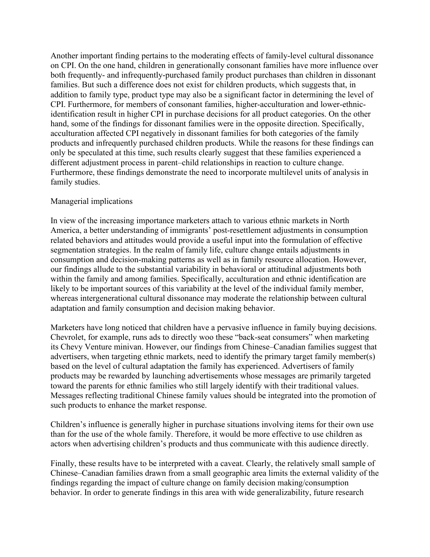Another important finding pertains to the moderating effects of family-level cultural dissonance on CPI. On the one hand, children in generationally consonant families have more influence over both frequently- and infrequently-purchased family product purchases than children in dissonant families. But such a difference does not exist for children products, which suggests that, in addition to family type, product type may also be a significant factor in determining the level of CPI. Furthermore, for members of consonant families, higher-acculturation and lower-ethnicidentification result in higher CPI in purchase decisions for all product categories. On the other hand, some of the findings for dissonant families were in the opposite direction. Specifically, acculturation affected CPI negatively in dissonant families for both categories of the family products and infrequently purchased children products. While the reasons for these findings can only be speculated at this time, such results clearly suggest that these families experienced a different adjustment process in parent–child relationships in reaction to culture change. Furthermore, these findings demonstrate the need to incorporate multilevel units of analysis in family studies.

### Managerial implications

In view of the increasing importance marketers attach to various ethnic markets in North America, a better understanding of immigrants' post-resettlement adjustments in consumption related behaviors and attitudes would provide a useful input into the formulation of effective segmentation strategies. In the realm of family life, culture change entails adjustments in consumption and decision-making patterns as well as in family resource allocation. However, our findings allude to the substantial variability in behavioral or attitudinal adjustments both within the family and among families. Specifically, acculturation and ethnic identification are likely to be important sources of this variability at the level of the individual family member, whereas intergenerational cultural dissonance may moderate the relationship between cultural adaptation and family consumption and decision making behavior.

Marketers have long noticed that children have a pervasive influence in family buying decisions. Chevrolet, for example, runs ads to directly woo these "back-seat consumers" when marketing its Chevy Venture minivan. However, our findings from Chinese–Canadian families suggest that advertisers, when targeting ethnic markets, need to identify the primary target family member(s) based on the level of cultural adaptation the family has experienced. Advertisers of family products may be rewarded by launching advertisements whose messages are primarily targeted toward the parents for ethnic families who still largely identify with their traditional values. Messages reflecting traditional Chinese family values should be integrated into the promotion of such products to enhance the market response.

Children's influence is generally higher in purchase situations involving items for their own use than for the use of the whole family. Therefore, it would be more effective to use children as actors when advertising children's products and thus communicate with this audience directly.

Finally, these results have to be interpreted with a caveat. Clearly, the relatively small sample of Chinese–Canadian families drawn from a small geographic area limits the external validity of the findings regarding the impact of culture change on family decision making/consumption behavior. In order to generate findings in this area with wide generalizability, future research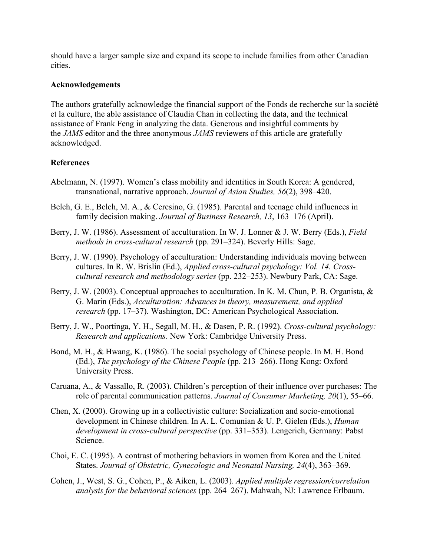should have a larger sample size and expand its scope to include families from other Canadian cities.

### **Acknowledgements**

The authors gratefully acknowledge the financial support of the Fonds de recherche sur la société et la culture, the able assistance of Claudia Chan in collecting the data, and the technical assistance of Frank Feng in analyzing the data. Generous and insightful comments by the *JAMS* editor and the three anonymous *JAMS* reviewers of this article are gratefully acknowledged.

# **References**

- Abelmann, N. (1997). Women's class mobility and identities in South Korea: A gendered, transnational, narrative approach. *Journal of Asian Studies, 56*(2), 398–420.
- Belch, G. E., Belch, M. A., & Ceresino, G. (1985). Parental and teenage child influences in family decision making. *Journal of Business Research, 13*, 163–176 (April).
- Berry, J. W. (1986). Assessment of acculturation. In W. J. Lonner & J. W. Berry (Eds.), *Field methods in cross-cultural research* (pp. 291–324). Beverly Hills: Sage.
- Berry, J. W. (1990). Psychology of acculturation: Understanding individuals moving between cultures. In R. W. Brislin (Ed.), *Applied cross-cultural psychology: Vol. 14. Crosscultural research and methodology series* (pp. 232–253). Newbury Park, CA: Sage.
- Berry, J. W. (2003). Conceptual approaches to acculturation. In K. M. Chun, P. B. Organista, & G. Marin (Eds.), *Acculturation: Advances in theory, measurement, and applied research* (pp. 17–37). Washington, DC: American Psychological Association.
- Berry, J. W., Poortinga, Y. H., Segall, M. H., & Dasen, P. R. (1992). *Cross-cultural psychology: Research and applications*. New York: Cambridge University Press.
- Bond, M. H., & Hwang, K. (1986). The social psychology of Chinese people. In M. H. Bond (Ed.), *The psychology of the Chinese People* (pp. 213–266). Hong Kong: Oxford University Press.
- Caruana, A., & Vassallo, R. (2003). Children's perception of their influence over purchases: The role of parental communication patterns. *Journal of Consumer Marketing, 20*(1), 55–66.
- Chen, X. (2000). Growing up in a collectivistic culture: Socialization and socio-emotional development in Chinese children. In A. L. Comunian & U. P. Gielen (Eds.), *Human development in cross-cultural perspective* (pp. 331–353). Lengerich, Germany: Pabst Science.
- Choi, E. C. (1995). A contrast of mothering behaviors in women from Korea and the United States. *Journal of Obstetric, Gynecologic and Neonatal Nursing, 24*(4), 363–369.
- Cohen, J., West, S. G., Cohen, P., & Aiken, L. (2003). *Applied multiple regression/correlation analysis for the behavioral sciences* (pp. 264–267). Mahwah, NJ: Lawrence Erlbaum.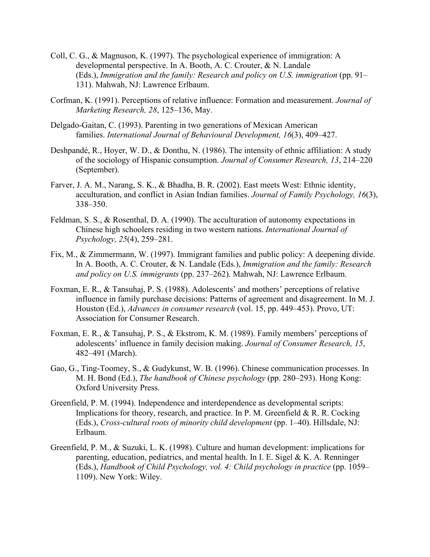- Coll, C. G., & Magnuson, K. (1997). The psychological experience of immigration: A developmental perspective. In A. Booth, A. C. Crouter, & N. Landale (Eds.), *Immigration and the family: Research and policy on U.S. immigration* (pp. 91– 131). Mahwah, NJ: Lawrence Erlbaum.
- Corfman, K. (1991). Perceptions of relative influence: Formation and measurement. *Journal of Marketing Research, 28*, 125–136, May.
- Delgado-Gaitan, C. (1993). Parenting in two generations of Mexican American families. *International Journal of Behavioural Development, 16*(3), 409–427.
- Deshpandé, R., Hoyer, W. D., & Donthu, N. (1986). The intensity of ethnic affiliation: A study of the sociology of Hispanic consumption. *Journal of Consumer Research, 13*, 214–220 (September).
- Farver, J. A. M., Narang, S. K., & Bhadha, B. R. (2002). East meets West: Ethnic identity, acculturation, and conflict in Asian Indian families. *Journal of Family Psychology, 16*(3), 338–350.
- Feldman, S. S., & Rosenthal, D. A. (1990). The acculturation of autonomy expectations in Chinese high schoolers residing in two western nations. *International Journal of Psychology, 25*(4), 259–281.
- Fix, M., & Zimmermann, W. (1997). Immigrant families and public policy: A deepening divide. In A. Booth, A. C. Crouter, & N. Landale (Eds.), *Immigration and the family: Research and policy on U.S. immigrants* (pp. 237–262). Mahwah, NJ: Lawrence Erlbaum.
- Foxman, E. R., & Tansuhaj, P. S. (1988). Adolescents' and mothers' perceptions of relative influence in family purchase decisions: Patterns of agreement and disagreement. In M. J. Houston (Ed.), *Advances in consumer research* (vol. 15, pp. 449–453). Provo, UT: Association for Consumer Research.
- Foxman, E. R., & Tansuhaj, P. S., & Ekstrom, K. M. (1989). Family members' perceptions of adolescents' influence in family decision making. *Journal of Consumer Research, 15*, 482–491 (March).
- Gao, G., Ting-Toomey, S., & Gudykunst, W. B. (1996). Chinese communication processes. In M. H. Bond (Ed.), *The handbook of Chinese psychology* (pp. 280–293). Hong Kong: Oxford University Press.
- Greenfield, P. M. (1994). Independence and interdependence as developmental scripts: Implications for theory, research, and practice. In P. M. Greenfield  $\&$  R. R. Cocking (Eds.), *Cross-cultural roots of minority child development* (pp. 1–40). Hillsdale, NJ: Erlbaum.
- Greenfield, P. M., & Suzuki, L. K. (1998). Culture and human development: implications for parenting, education, pediatrics, and mental health. In I. E. Sigel & K. A. Renninger (Eds.), *Handbook of Child Psychology, vol. 4: Child psychology in practice* (pp. 1059– 1109). New York: Wiley.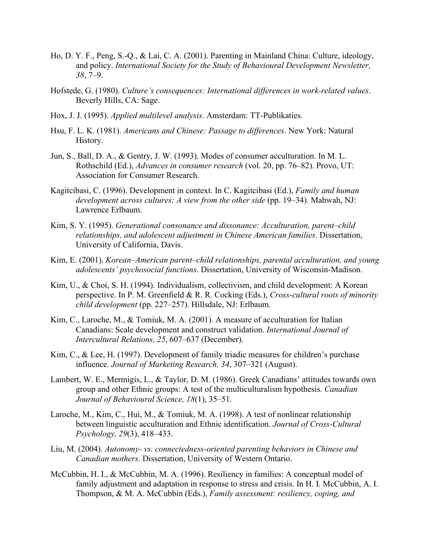- Ho, D. Y. F., Peng, S.-Q., & Lai, C. A. (2001). Parenting in Mainland China: Culture, ideology, and policy. *International Society for the Study of Behavioural Development Newsletter, 38*, 7–9.
- Hofstede, G. (1980). *Culture's consequences: International differences in work-related values*. Beverly Hills, CA: Sage.
- Hox, J. J. (1995). *Applied multilevel analysis*. Amsterdam: TT-Publikaties.
- Hsu, F. L. K. (1981). *Americans and Chinese: Passage to differences*. New York: Natural History.
- Jun, S., Ball, D. A., & Gentry, J. W. (1993). Modes of consumer acculturation. In M. L. Rothschild (Ed.), *Advances in consumer research* (vol. 20, pp. 76–82). Provo, UT: Association for Consumer Research.
- Kagitcibasi, C. (1996). Development in context. In C. Kagitcibasi (Ed.), *Family and human development across cultures: A view from the other side* (pp. 19–34). Mahwah, NJ: Lawrence Erlbaum.
- Kim, S. Y. (1995). *Generational consonance and dissonance: Acculturation, parent–child relationships, and adolescent adjustment in Chinese American families*. Dissertation, University of California, Davis.
- Kim, E. (2001). *Korean–American parent–child relationships, parental acculturation, and young adolescents' psychosocial functions*. Dissertation, University of Wisconsin-Madison.
- Kim, U., & Choi, S. H. (1994). Individualism, collectivism, and child development: A Korean perspective. In P. M. Greenfield & R. R. Cocking (Eds.), *Cross-cultural roots of minority child development* (pp. 227–257). Hillsdale, NJ: Erlbaum.
- Kim, C., Laroche, M., & Tomiuk, M. A. (2001). A measure of acculturation for Italian Canadians: Scale development and construct validation. *International Journal of Intercultural Relations, 25*, 607–637 (December).
- Kim, C., & Lee, H. (1997). Development of family triadic measures for children's purchase influence. *Journal of Marketing Research, 34*, 307–321 (August).
- Lambert, W. E., Mermigis, L., & Taylor, D. M. (1986). Greek Canadians' attitudes towards own group and other Ethnic groups: A test of the multiculturalism hypothesis. *Canadian Journal of Behavioural Science, 18*(1), 35–51.
- Laroche, M., Kim, C., Hui, M., & Tomiuk, M. A. (1998). A test of nonlinear relationship between linguistic acculturation and Ethnic identification. *Journal of Cross-Cultural Psychology, 29*(3), 418–433.
- Liu, M. (2004). *Autonomy- vs. connectedness-oriented parenting behaviors in Chinese and Canadian mothers*. Dissertation, University of Western Ontario.
- McCubbin, H. I., & McCubbin, M. A. (1996). Resiliency in families: A conceptual model of family adjustment and adaptation in response to stress and crisis. In H. I. McCubbin, A. I. Thompson, & M. A. McCubbin (Eds.), *Family assessment: resiliency, coping, and*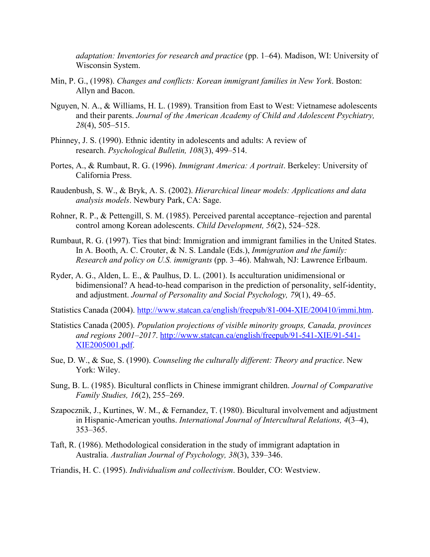*adaptation: Inventories for research and practice* (pp. 1–64). Madison, WI: University of Wisconsin System.

- Min, P. G., (1998). *Changes and conflicts: Korean immigrant families in New York*. Boston: Allyn and Bacon.
- Nguyen, N. A., & Williams, H. L. (1989). Transition from East to West: Vietnamese adolescents and their parents. *Journal of the American Academy of Child and Adolescent Psychiatry, 28*(4), 505–515.
- Phinney, J. S. (1990). Ethnic identity in adolescents and adults: A review of research. *Psychological Bulletin, 108*(3), 499–514.
- Portes, A., & Rumbaut, R. G. (1996). *Immigrant America: A portrait*. Berkeley: University of California Press.
- Raudenbush, S. W., & Bryk, A. S. (2002). *Hierarchical linear models: Applications and data analysis models*. Newbury Park, CA: Sage.
- Rohner, R. P., & Pettengill, S. M. (1985). Perceived parental acceptance–rejection and parental control among Korean adolescents. *Child Development, 56*(2), 524–528.
- Rumbaut, R. G. (1997). Ties that bind: Immigration and immigrant families in the United States. In A. Booth, A. C. Crouter, & N. S. Landale (Eds.), *Immigration and the family: Research and policy on U.S. immigrants* (pp. 3–46). Mahwah, NJ: Lawrence Erlbaum.
- Ryder, A. G., Alden, L. E., & Paulhus, D. L. (2001). Is acculturation unidimensional or bidimensional? A head-to-head comparison in the prediction of personality, self-identity, and adjustment. *Journal of Personality and Social Psychology, 79*(1), 49–65.

Statistics Canada (2004). [http://www.statcan.ca/english/freepub/81-004-XIE/200410/immi.htm.](http://www.statcan.ca/english/freepub/81-004-XIE/200410/immi.htm)

- Statistics Canada (2005). *Population projections of visible minority groups, Canada, provinces and regions 2001–2017*. [http://www.statcan.ca/english/freepub/91-541-XIE/91-541-](http://www.statcan.ca/english/freepub/91-541-XIE/91-541-XIE2005001.pdf) [XIE2005001.pdf.](http://www.statcan.ca/english/freepub/91-541-XIE/91-541-XIE2005001.pdf)
- Sue, D. W., & Sue, S. (1990). *Counseling the culturally different: Theory and practice*. New York: Wiley.
- Sung, B. L. (1985). Bicultural conflicts in Chinese immigrant children. *Journal of Comparative Family Studies, 16*(2), 255–269.
- Szapocznik, J., Kurtines, W. M., & Fernandez, T. (1980). Bicultural involvement and adjustment in Hispanic-American youths. *International Journal of Intercultural Relations, 4*(3–4), 353–365.
- Taft, R. (1986). Methodological consideration in the study of immigrant adaptation in Australia. *Australian Journal of Psychology, 38*(3), 339–346.

Triandis, H. C. (1995). *Individualism and collectivism*. Boulder, CO: Westview.